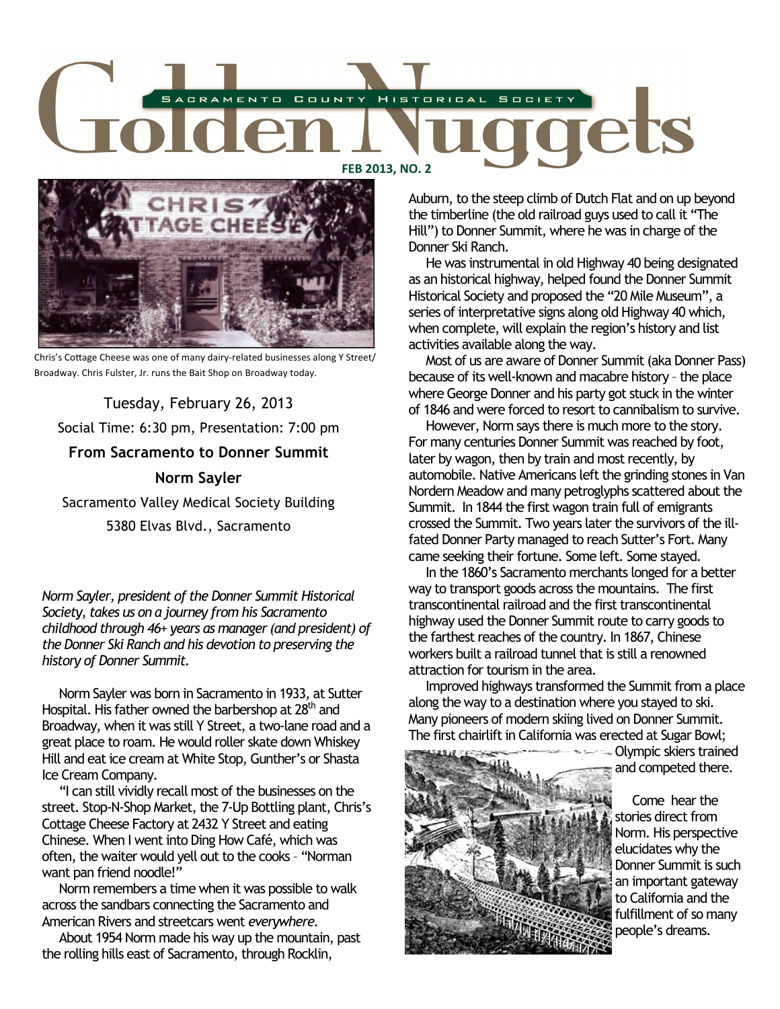



Chris's Cottage Cheese was one of many dairy-related businesses along Y Street/ Broadway. Chris Fulster, Jr. runs the Bait Shop on Broadway today.

Tuesday, February 26, 2013 Social Time: 6:30 pm, Presentation: 7:00 pm **From Sacramento to Donner Summit Norm Sayler**  Sacramento Valley Medical Society Building

5380 Elvas Blvd., Sacramento

*Norm Sayler, president of the Donner Summit Historical Society, takes us on a journey from his Sacramento childhood through 46+ years as manager (and president) of the Donner Ski Ranch and his devotion to preserving the history of Donner Summit.* 

 Norm Sayler was born in Sacramento in 1933, at Sutter Hospital. His father owned the barbershop at 28<sup>th</sup> and Broadway, when it was still Y Street, a two-lane road and a great place to roam. He would roller skate down Whiskey Hill and eat ice cream at White Stop, Gunther's or Shasta Ice Cream Company.

 "I can still vividly recall most of the businesses on the street. Stop-N-Shop Market, the 7-Up Bottling plant, Chris's Cottage Cheese Factory at 2432 Y Street and eating Chinese. When I went into Ding How Café, which was often, the waiter would yell out to the cooks – "Norman want pan friend noodle!"

 Norm remembers a time when it was possible to walk across the sandbars connecting the Sacramento and American Rivers and streetcars went *everywhere.*

 About 1954 Norm made his way up the mountain, past the rolling hills east of Sacramento, through Rocklin,

Auburn, to the steep climb of Dutch Flat and on up beyond the timberline (the old railroad guys used to call it "The Hill") to Donner Summit, where he was in charge of the Donner Ski Ranch.

 He was instrumental in old Highway 40 being designated as an historical highway, helped found the Donner Summit Historical Society and proposed the "20 Mile Museum", a series of interpretative signs along old Highway 40 which, when complete, will explain the region's history and list activities available along the way.

 Most of us are aware of Donner Summit (aka Donner Pass) because of its well-known and macabre history – the place where George Donner and his party got stuck in the winter of 1846 and were forced to resort to cannibalism to survive.

 However, Norm says there is much more to the story. For many centuries Donner Summit was reached by foot, later by wagon, then by train and most recently, by automobile. Native Americans left the grinding stones in Van Nordern Meadow and many petroglyphs scattered about the Summit. In 1844 the first wagon train full of emigrants crossed the Summit. Two years later the survivors of the illfated Donner Party managed to reach Sutter's Fort. Many came seeking their fortune. Some left. Some stayed.

 In the 1860's Sacramento merchants longed for a better way to transport goods across the mountains. The first transcontinental railroad and the first transcontinental highway used the Donner Summit route to carry goods to the farthest reaches of the country. In 1867, Chinese workers built a railroad tunnel that is still a renowned attraction for tourism in the area.

 Improved highways transformed the Summit from a place along the way to a destination where you stayed to ski. Many pioneers of modern skiing lived on Donner Summit. The first chairlift in California was erected at Sugar Bowl;

Olympic skiers trained



and competed there.

 Come hear the stories direct from Norm. His perspective elucidates why the Donner Summit is such an important gateway to California and the fulfillment of so many people's dreams.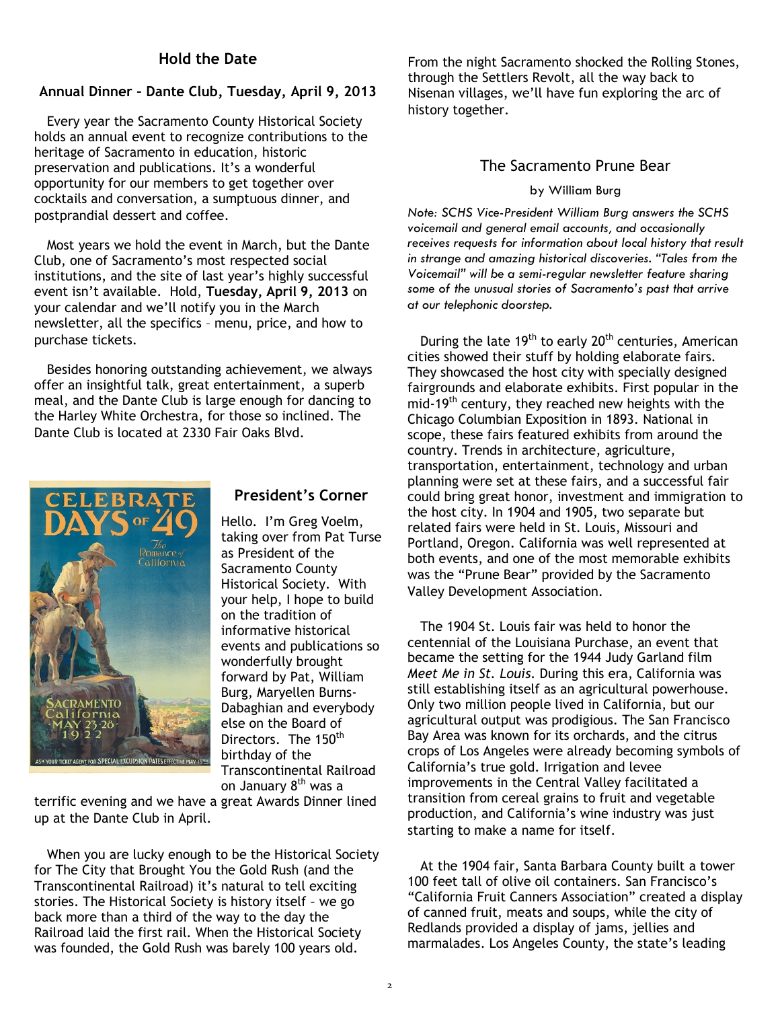## **Hold the Date**

#### **Annual Dinner – Dante Club, Tuesday, April 9, 2013**

Every year the Sacramento County Historical Society holds an annual event to recognize contributions to the heritage of Sacramento in education, historic preservation and publications. It's a wonderful opportunity for our members to get together over cocktails and conversation, a sumptuous dinner, and postprandial dessert and coffee.

Most years we hold the event in March, but the Dante Club, one of Sacramento's most respected social institutions, and the site of last year's highly successful event isn't available. Hold, **Tuesday, April 9, 2013** on your calendar and we'll notify you in the March newsletter, all the specifics – menu, price, and how to purchase tickets.

Besides honoring outstanding achievement, we always offer an insightful talk, great entertainment, a superb meal, and the Dante Club is large enough for dancing to the Harley White Orchestra, for those so inclined. The Dante Club is located at 2330 Fair Oaks Blvd.



### **President's Corner**

Hello. I'm Greg Voelm, taking over from Pat Turse as President of the Sacramento County Historical Society. With your help, I hope to build on the tradition of informative historical events and publications so wonderfully brought forward by Pat, William Burg, Maryellen Burns-Dabaghian and everybody else on the Board of Directors. The 150<sup>th</sup> birthday of the Transcontinental Railroad on January 8<sup>th</sup> was a

terrific evening and we have a great Awards Dinner lined up at the Dante Club in April.

When you are lucky enough to be the Historical Society for The City that Brought You the Gold Rush (and the Transcontinental Railroad) it's natural to tell exciting stories. The Historical Society is history itself – we go back more than a third of the way to the day the Railroad laid the first rail. When the Historical Society was founded, the Gold Rush was barely 100 years old.

From the night Sacramento shocked the Rolling Stones, through the Settlers Revolt, all the way back to Nisenan villages, we'll have fun exploring the arc of history together.

#### The Sacramento Prune Bear

#### by William Burg

*Note: SCHS Vice-President William Burg answers the SCHS voicemail and general email accounts, and occasionally receives requests for information about local history that result in strange and amazing historical discoveries. "Tales from the Voicemail" will be a semi-regular newsletter feature sharing some of the unusual stories of Sacramento's past that arrive at our telephonic doorstep.* 

During the late 19<sup>th</sup> to early 20<sup>th</sup> centuries, American cities showed their stuff by holding elaborate fairs. They showcased the host city with specially designed fairgrounds and elaborate exhibits. First popular in the mid-19<sup>th</sup> century, they reached new heights with the Chicago Columbian Exposition in 1893. National in scope, these fairs featured exhibits from around the country. Trends in architecture, agriculture, transportation, entertainment, technology and urban planning were set at these fairs, and a successful fair could bring great honor, investment and immigration to the host city. In 1904 and 1905, two separate but related fairs were held in St. Louis, Missouri and Portland, Oregon. California was well represented at both events, and one of the most memorable exhibits was the "Prune Bear" provided by the Sacramento Valley Development Association.

The 1904 St. Louis fair was held to honor the centennial of the Louisiana Purchase, an event that became the setting for the 1944 Judy Garland film *Meet Me in St. Louis.* During this era, California was still establishing itself as an agricultural powerhouse. Only two million people lived in California, but our agricultural output was prodigious. The San Francisco Bay Area was known for its orchards, and the citrus crops of Los Angeles were already becoming symbols of California's true gold. Irrigation and levee improvements in the Central Valley facilitated a transition from cereal grains to fruit and vegetable production, and California's wine industry was just starting to make a name for itself.

At the 1904 fair, Santa Barbara County built a tower 100 feet tall of olive oil containers. San Francisco's "California Fruit Canners Association" created a display of canned fruit, meats and soups, while the city of Redlands provided a display of jams, jellies and marmalades. Los Angeles County, the state's leading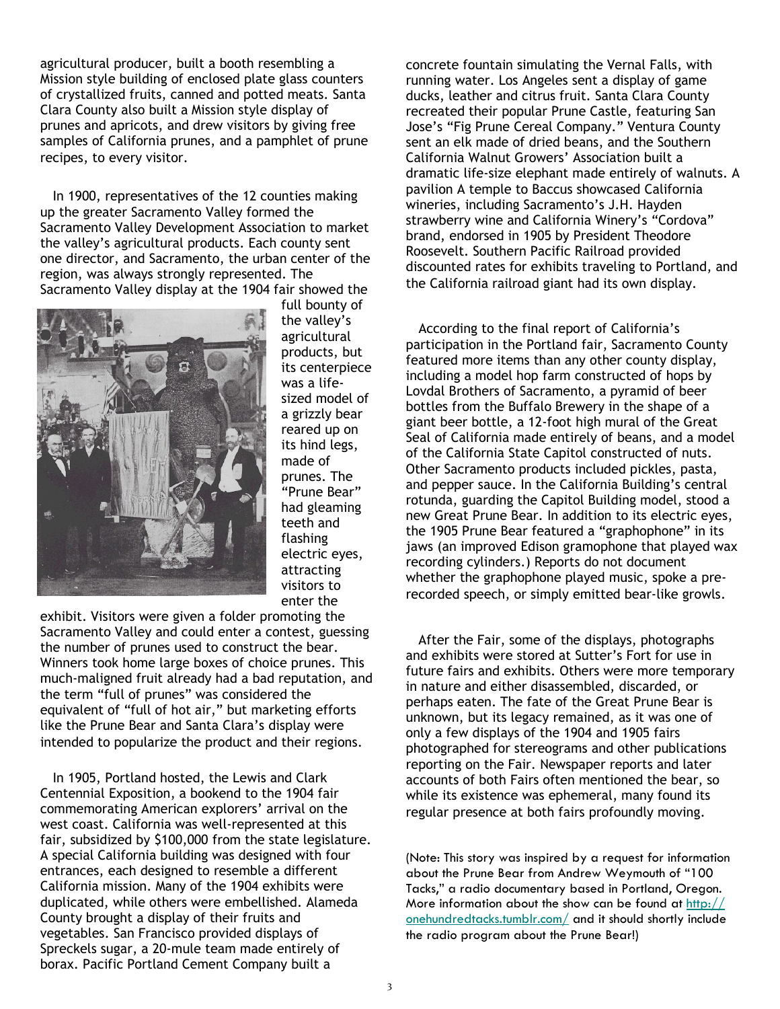agricultural producer, built a booth resembling a Mission style building of enclosed plate glass counters of crystallized fruits, canned and potted meats. Santa Clara County also built a Mission style display of prunes and apricots, and drew visitors by giving free samples of California prunes, and a pamphlet of prune recipes, to every visitor.

In 1900, representatives of the 12 counties making up the greater Sacramento Valley formed the Sacramento Valley Development Association to market the valley's agricultural products. Each county sent one director, and Sacramento, the urban center of the region, was always strongly represented. The Sacramento Valley display at the 1904 fair showed the



full bounty of the valley's agricultural products, but its centerpiece was a lifesized model of a grizzly bear reared up on its hind legs, made of prunes. The "Prune Bear" had gleaming teeth and flashing electric eyes, attracting visitors to enter the

exhibit. Visitors were given a folder promoting the Sacramento Valley and could enter a contest, guessing the number of prunes used to construct the bear. Winners took home large boxes of choice prunes. This much-maligned fruit already had a bad reputation, and the term "full of prunes" was considered the equivalent of "full of hot air," but marketing efforts like the Prune Bear and Santa Clara's display were intended to popularize the product and their regions.

In 1905, Portland hosted, the Lewis and Clark Centennial Exposition, a bookend to the 1904 fair commemorating American explorers' arrival on the west coast. California was well-represented at this fair, subsidized by \$100,000 from the state legislature. A special California building was designed with four entrances, each designed to resemble a different California mission. Many of the 1904 exhibits were duplicated, while others were embellished. Alameda County brought a display of their fruits and vegetables. San Francisco provided displays of Spreckels sugar, a 20-mule team made entirely of borax. Pacific Portland Cement Company built a

concrete fountain simulating the Vernal Falls, with running water. Los Angeles sent a display of game ducks, leather and citrus fruit. Santa Clara County recreated their popular Prune Castle, featuring San Jose's "Fig Prune Cereal Company." Ventura County sent an elk made of dried beans, and the Southern California Walnut Growers' Association built a dramatic life-size elephant made entirely of walnuts. A pavilion A temple to Baccus showcased California wineries, including Sacramento's J.H. Hayden strawberry wine and California Winery's "Cordova" brand, endorsed in 1905 by President Theodore Roosevelt. Southern Pacific Railroad provided discounted rates for exhibits traveling to Portland, and the California railroad giant had its own display.

According to the final report of California's participation in the Portland fair, Sacramento County featured more items than any other county display, including a model hop farm constructed of hops by Lovdal Brothers of Sacramento, a pyramid of beer bottles from the Buffalo Brewery in the shape of a giant beer bottle, a 12-foot high mural of the Great Seal of California made entirely of beans, and a model of the California State Capitol constructed of nuts. Other Sacramento products included pickles, pasta, and pepper sauce. In the California Building's central rotunda, guarding the Capitol Building model, stood a new Great Prune Bear. In addition to its electric eyes, the 1905 Prune Bear featured a "graphophone" in its jaws (an improved Edison gramophone that played wax recording cylinders.) Reports do not document whether the graphophone played music, spoke a prerecorded speech, or simply emitted bear-like growls.

After the Fair, some of the displays, photographs and exhibits were stored at Sutter's Fort for use in future fairs and exhibits. Others were more temporary in nature and either disassembled, discarded, or perhaps eaten. The fate of the Great Prune Bear is unknown, but its legacy remained, as it was one of only a few displays of the 1904 and 1905 fairs photographed for stereograms and other publications reporting on the Fair. Newspaper reports and later accounts of both Fairs often mentioned the bear, so while its existence was ephemeral, many found its regular presence at both fairs profoundly moving.

(Note: This story was inspired by a request for information about the Prune Bear from Andrew Weymouth of "100 Tacks," a radio documentary based in Portland, Oregon. More information about the show can be found at  $\frac{http://}{$ onehundredtacks.tumblr.com/ and it should shortly include the radio program about the Prune Bear!)